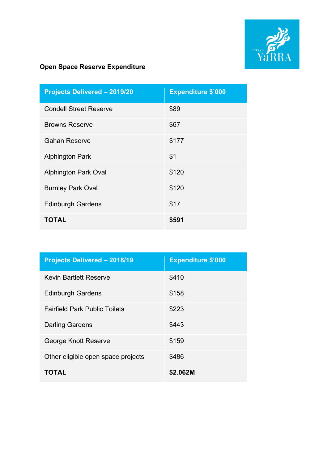

| <b>Projects Delivered - 2019/20</b> | <b>Expenditure \$'000</b> |
|-------------------------------------|---------------------------|
| <b>Condell Street Reserve</b>       | \$89                      |
| <b>Browns Reserve</b>               | \$67                      |
| <b>Gahan Reserve</b>                | \$177                     |
| <b>Alphington Park</b>              | \$1                       |
| <b>Alphington Park Oval</b>         | \$120                     |
| <b>Burnley Park Oval</b>            | \$120                     |
| <b>Edinburgh Gardens</b>            | \$17                      |
| <b>TOTAL</b>                        | \$591                     |

| <b>Projects Delivered - 2018/19</b>  | <b>Expenditure \$'000</b> |
|--------------------------------------|---------------------------|
| Kevin Bartlett Reserve               | \$410                     |
| <b>Edinburgh Gardens</b>             | \$158                     |
| <b>Fairfield Park Public Toilets</b> | \$223                     |
| <b>Darling Gardens</b>               | \$443                     |
| George Knott Reserve                 | \$159                     |
| Other eligible open space projects   | \$486                     |
| TOTAL                                | \$2.062M                  |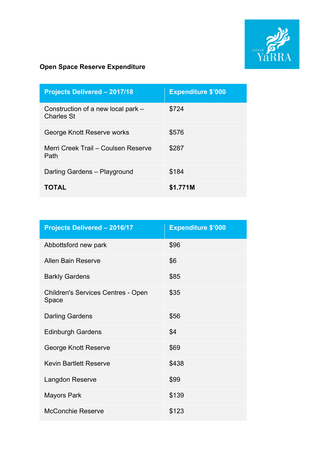

| <b>Projects Delivered - 2017/18</b>                     | <b>Expenditure \$'000</b> |
|---------------------------------------------------------|---------------------------|
| Construction of a new local park –<br><b>Charles St</b> | \$724                     |
| George Knott Reserve works                              | \$576                     |
| Merri Creek Trail - Coulsen Reserve<br>Path             | \$287                     |
| Darling Gardens - Playground                            | \$184                     |
| <b>TOTAL</b>                                            | \$1.771M                  |

| <b>Projects Delivered - 2016/17</b>                | <b>Expenditure \$'000</b> |
|----------------------------------------------------|---------------------------|
| Abbottsford new park                               | \$96                      |
| <b>Allen Bain Reserve</b>                          | \$6                       |
| <b>Barkly Gardens</b>                              | \$85                      |
| <b>Children's Services Centres - Open</b><br>Space | \$35                      |
| <b>Darling Gardens</b>                             | \$56                      |
| <b>Edinburgh Gardens</b>                           | \$4                       |
| George Knott Reserve                               | \$69                      |
| <b>Kevin Bartlett Reserve</b>                      | \$438                     |
| Langdon Reserve                                    | \$99                      |
| <b>Mayors Park</b>                                 | \$139                     |
| <b>McConchie Reserve</b>                           | \$123                     |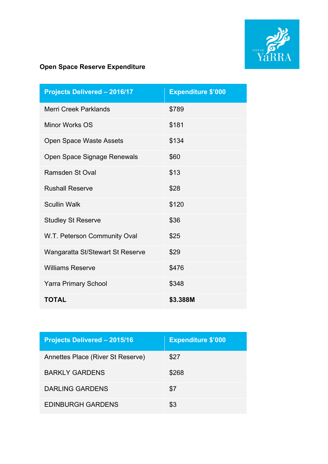

| <b>Projects Delivered - 2016/17</b> | <b>Expenditure \$'000</b> |
|-------------------------------------|---------------------------|
| Merri Creek Parklands               | \$789                     |
| Minor Works OS                      | \$181                     |
| <b>Open Space Waste Assets</b>      | \$134                     |
| Open Space Signage Renewals         | \$60                      |
| <b>Ramsden St Oval</b>              | \$13                      |
| <b>Rushall Reserve</b>              | \$28                      |
| <b>Scullin Walk</b>                 | \$120                     |
| <b>Studley St Reserve</b>           | \$36                      |
| W.T. Peterson Community Oval        | \$25                      |
| Wangaratta St/Stewart St Reserve    | \$29                      |
| <b>Williams Reserve</b>             | \$476                     |
| <b>Yarra Primary School</b>         | \$348                     |
| <b>TOTAL</b>                        | \$3.388M                  |

| <b>Projects Delivered - 2015/16</b> | <b>Expenditure \$'000</b> |
|-------------------------------------|---------------------------|
| Annettes Place (River St Reserve)   | \$27                      |
| BARKI Y GARDENS                     | \$268                     |
| <b>DARLING GARDENS</b>              | \$7                       |
| <b>EDINBURGH GARDENS</b>            | \$3                       |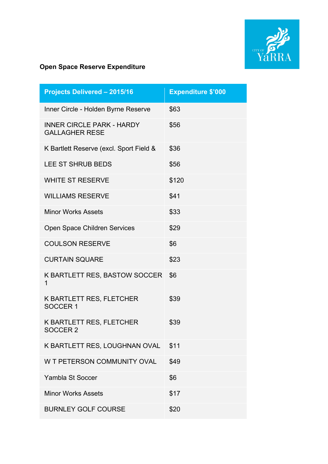

| <b>Projects Delivered - 2015/16</b>                       | <b>Expenditure \$'000</b> |
|-----------------------------------------------------------|---------------------------|
| Inner Circle - Holden Byrne Reserve                       | \$63                      |
| <b>INNER CIRCLE PARK - HARDY</b><br><b>GALLAGHER RESE</b> | \$56                      |
| K Bartlett Reserve (excl. Sport Field &                   | \$36                      |
| <b>LEE ST SHRUB BEDS</b>                                  | \$56                      |
| <b>WHITE ST RESERVE</b>                                   | \$120                     |
| <b>WILLIAMS RESERVE</b>                                   | \$41                      |
| <b>Minor Works Assets</b>                                 | \$33                      |
| Open Space Children Services                              | \$29                      |
| <b>COULSON RESERVE</b>                                    | \$6                       |
| <b>CURTAIN SQUARE</b>                                     | \$23                      |
| K BARTLETT RES, BASTOW SOCCER<br>1                        | \$6                       |
| K BARTLETT RES, FLETCHER<br>SOCCER <sub>1</sub>           | \$39                      |
| K BARTLETT RES, FLETCHER<br>SOCCER 2                      | \$39                      |
| K BARTLETT RES, LOUGHNAN OVAL                             | \$11                      |
| W T PETERSON COMMUNITY OVAL                               | \$49                      |
| Yambla St Soccer                                          | \$6                       |
| <b>Minor Works Assets</b>                                 | \$17                      |
| <b>BURNLEY GOLF COURSE</b>                                | \$20                      |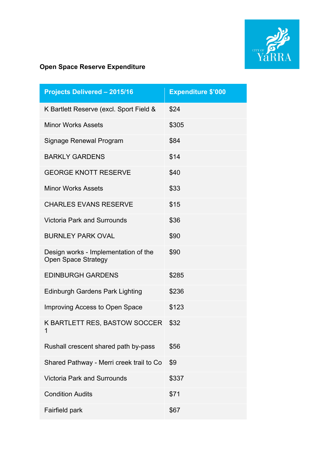

| <b>Projects Delivered - 2015/16</b>                                | <b>Expenditure \$'000</b> |
|--------------------------------------------------------------------|---------------------------|
| K Bartlett Reserve (excl. Sport Field &                            | \$24                      |
| <b>Minor Works Assets</b>                                          | \$305                     |
| <b>Signage Renewal Program</b>                                     | \$84                      |
| <b>BARKLY GARDENS</b>                                              | \$14                      |
| <b>GEORGE KNOTT RESERVE</b>                                        | \$40                      |
| <b>Minor Works Assets</b>                                          | \$33                      |
| <b>CHARLES EVANS RESERVE</b>                                       | \$15                      |
| <b>Victoria Park and Surrounds</b>                                 | \$36                      |
| <b>BURNLEY PARK OVAL</b>                                           | \$90                      |
| Design works - Implementation of the<br><b>Open Space Strategy</b> | \$90                      |
| <b>EDINBURGH GARDENS</b>                                           | \$285                     |
| <b>Edinburgh Gardens Park Lighting</b>                             | \$236                     |
| Improving Access to Open Space                                     | \$123                     |
| K BARTLETT RES, BASTOW SOCCER<br>1                                 | \$32                      |
| Rushall crescent shared path by-pass                               | \$56                      |
| Shared Pathway - Merri creek trail to Co                           | \$9                       |
| <b>Victoria Park and Surrounds</b>                                 | \$337                     |
| <b>Condition Audits</b>                                            | \$71                      |
| Fairfield park                                                     | \$67                      |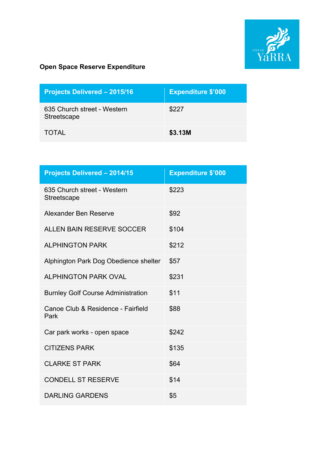

| <b>Projects Delivered - 2015/16</b>        | <b>Expenditure \$'000</b> |
|--------------------------------------------|---------------------------|
| 635 Church street - Western<br>Streetscape | \$227                     |
| <b>TOTAL</b>                               | \$3.13M                   |

| <b>Projects Delivered - 2014/15</b>        | <b>Expenditure \$'000</b> |
|--------------------------------------------|---------------------------|
| 635 Church street - Western<br>Streetscape | \$223                     |
| Alexander Ben Reserve                      | \$92                      |
| <b>ALLEN BAIN RESERVE SOCCER</b>           | \$104                     |
| <b>ALPHINGTON PARK</b>                     | \$212                     |
| Alphington Park Dog Obedience shelter      | \$57                      |
| <b>ALPHINGTON PARK OVAL</b>                | \$231                     |
| <b>Burnley Golf Course Administration</b>  | \$11                      |
| Canoe Club & Residence - Fairfield<br>Park | \$88                      |
| Car park works - open space                | \$242                     |
| <b>CITIZENS PARK</b>                       | \$135                     |
| <b>CLARKE ST PARK</b>                      | \$64                      |
| <b>CONDELL ST RESERVE</b>                  | \$14                      |
| <b>DARLING GARDENS</b>                     | \$5                       |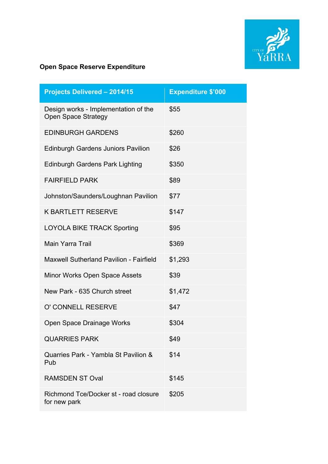

| <b>Projects Delivered - 2014/15</b>                                | <b>Expenditure \$'000</b> |
|--------------------------------------------------------------------|---------------------------|
| Design works - Implementation of the<br><b>Open Space Strategy</b> | \$55                      |
| <b>EDINBURGH GARDENS</b>                                           | \$260                     |
| <b>Edinburgh Gardens Juniors Pavilion</b>                          | \$26                      |
| <b>Edinburgh Gardens Park Lighting</b>                             | \$350                     |
| <b>FAIRFIELD PARK</b>                                              | \$89                      |
| Johnston/Saunders/Loughnan Pavilion                                | \$77                      |
| <b>K BARTLETT RESERVE</b>                                          | \$147                     |
| <b>LOYOLA BIKE TRACK Sporting</b>                                  | \$95                      |
| Main Yarra Trail                                                   | \$369                     |
| <b>Maxwell Sutherland Pavilion - Fairfield</b>                     | \$1,293                   |
| Minor Works Open Space Assets                                      | \$39                      |
| New Park - 635 Church street                                       | \$1,472                   |
| O' CONNELL RESERVE                                                 | \$47                      |
| Open Space Drainage Works                                          | \$304                     |
| <b>QUARRIES PARK</b>                                               | \$49                      |
| Quarries Park - Yambla St Pavilion &<br>Pub                        | \$14                      |
| <b>RAMSDEN ST Oval</b>                                             | \$145                     |
| Richmond Tce/Docker st - road closure<br>for new park              | \$205                     |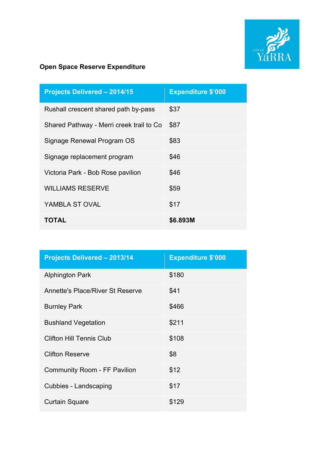

| <b>Projects Delivered - 2014/15</b>      | <b>Expenditure \$'000</b> |
|------------------------------------------|---------------------------|
| Rushall crescent shared path by-pass     | \$37                      |
| Shared Pathway - Merri creek trail to Co | \$87                      |
| Signage Renewal Program OS               | \$83                      |
| Signage replacement program              | \$46                      |
| Victoria Park - Bob Rose pavilion        | \$46                      |
| <b>WILLIAMS RESERVE</b>                  | \$59                      |
| YAMBLA ST OVAL                           | \$17                      |
| <b>TOTAL</b>                             | \$6.893M                  |

| <b>Projects Delivered - 2013/14</b>     | <b>Expenditure \$'000</b> |
|-----------------------------------------|---------------------------|
| <b>Alphington Park</b>                  | \$180                     |
| <b>Annette's Place/River St Reserve</b> | \$41                      |
| <b>Burnley Park</b>                     | \$466                     |
| <b>Bushland Vegetation</b>              | \$211                     |
| <b>Clifton Hill Tennis Club</b>         | \$108                     |
| <b>Clifton Reserve</b>                  | \$8                       |
| <b>Community Room - FF Pavilion</b>     | \$12                      |
| <b>Cubbies - Landscaping</b>            | \$17                      |
| <b>Curtain Square</b>                   | \$129                     |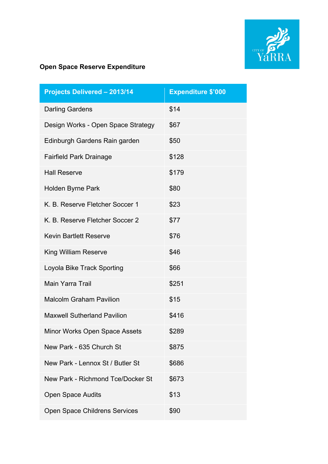

| <b>Projects Delivered - 2013/14</b>  | <b>Expenditure \$'000</b> |
|--------------------------------------|---------------------------|
| <b>Darling Gardens</b>               | \$14                      |
| Design Works - Open Space Strategy   | \$67                      |
| Edinburgh Gardens Rain garden        | \$50                      |
| <b>Fairfield Park Drainage</b>       | \$128                     |
| <b>Hall Reserve</b>                  | \$179                     |
| <b>Holden Byrne Park</b>             | \$80                      |
| K. B. Reserve Fletcher Soccer 1      | \$23                      |
| K. B. Reserve Fletcher Soccer 2      | \$77                      |
| <b>Kevin Bartlett Reserve</b>        | \$76                      |
| <b>King William Reserve</b>          | \$46                      |
| Loyola Bike Track Sporting           | \$66                      |
| <b>Main Yarra Trail</b>              | \$251                     |
| <b>Malcolm Graham Pavilion</b>       | \$15                      |
| <b>Maxwell Sutherland Pavilion</b>   | \$416                     |
| <b>Minor Works Open Space Assets</b> | \$289                     |
| New Park - 635 Church St             | \$875                     |
| New Park - Lennox St / Butler St     | \$686                     |
| New Park - Richmond Tce/Docker St    | \$673                     |
| <b>Open Space Audits</b>             | \$13                      |
| Open Space Childrens Services        | \$90                      |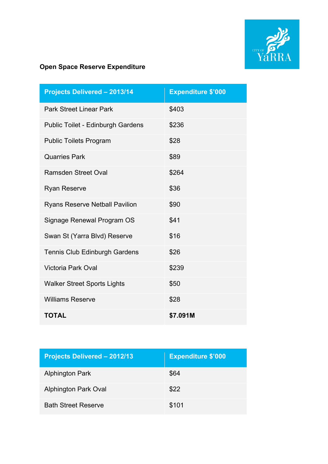

| <b>Projects Delivered - 2013/14</b>      | <b>Expenditure \$'000</b> |
|------------------------------------------|---------------------------|
| <b>Park Street Linear Park</b>           | \$403                     |
| <b>Public Toilet - Edinburgh Gardens</b> | \$236                     |
| <b>Public Toilets Program</b>            | \$28                      |
| <b>Quarries Park</b>                     | \$89                      |
| <b>Ramsden Street Oval</b>               | \$264                     |
| <b>Ryan Reserve</b>                      | \$36                      |
| <b>Ryans Reserve Netball Pavilion</b>    | \$90                      |
| Signage Renewal Program OS               | \$41                      |
| Swan St (Yarra Blvd) Reserve             | \$16                      |
| Tennis Club Edinburgh Gardens            | \$26                      |
| <b>Victoria Park Oval</b>                | \$239                     |
| <b>Walker Street Sports Lights</b>       | \$50                      |
| <b>Williams Reserve</b>                  | \$28                      |
| <b>TOTAL</b>                             | \$7.091M                  |

| <b>Projects Delivered - 2012/13</b> | <b>Expenditure \$'000</b> |
|-------------------------------------|---------------------------|
| <b>Alphington Park</b>              | \$64                      |
| <b>Alphington Park Oval</b>         | \$22                      |
| <b>Bath Street Reserve</b>          | \$101                     |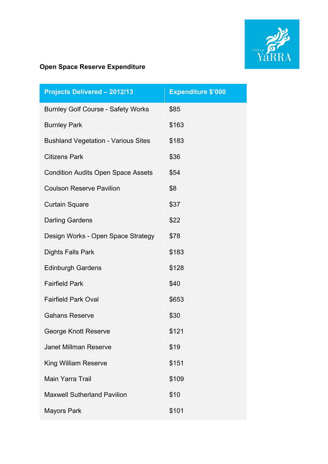

| <b>Projects Delivered - 2012/13</b>        | <b>Expenditure \$'000</b> |
|--------------------------------------------|---------------------------|
| <b>Burnley Golf Course - Safety Works</b>  | \$85                      |
| <b>Burnley Park</b>                        | \$163                     |
| <b>Bushland Vegetation - Various Sites</b> | \$183                     |
| <b>Citizens Park</b>                       | \$36                      |
| <b>Condition Audits Open Space Assets</b>  | \$54                      |
| <b>Coulson Reserve Pavilion</b>            | \$8                       |
| <b>Curtain Square</b>                      | \$37                      |
| <b>Darling Gardens</b>                     | \$22                      |
| Design Works - Open Space Strategy         | \$78                      |
| <b>Dights Falls Park</b>                   | \$183                     |
| <b>Edinburgh Gardens</b>                   | \$128                     |
| <b>Fairfield Park</b>                      | \$40                      |
| <b>Fairfield Park Oval</b>                 | \$653                     |
| <b>Gahans Reserve</b>                      | \$30                      |
| George Knott Reserve                       | \$121                     |
| <b>Janet Millman Reserve</b>               | \$19                      |
| King William Reserve                       | \$151                     |
| Main Yarra Trail                           | \$109                     |
| <b>Maxwell Sutherland Pavilion</b>         | \$10                      |
| <b>Mayors Park</b>                         | \$101                     |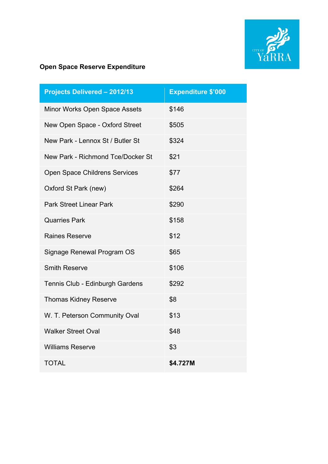

| <b>Projects Delivered - 2012/13</b>  | <b>Expenditure \$'000</b> |
|--------------------------------------|---------------------------|
| Minor Works Open Space Assets        | \$146                     |
| New Open Space - Oxford Street       | \$505                     |
| New Park - Lennox St / Butler St     | \$324                     |
| New Park - Richmond Tce/Docker St    | \$21                      |
| <b>Open Space Childrens Services</b> | \$77                      |
| Oxford St Park (new)                 | \$264                     |
| <b>Park Street Linear Park</b>       | \$290                     |
| <b>Quarries Park</b>                 | \$158                     |
| <b>Raines Reserve</b>                | \$12                      |
| Signage Renewal Program OS           | \$65                      |
| <b>Smith Reserve</b>                 | \$106                     |
| Tennis Club - Edinburgh Gardens      | \$292                     |
| <b>Thomas Kidney Reserve</b>         | \$8                       |
| W. T. Peterson Community Oval        | \$13                      |
| <b>Walker Street Oval</b>            | \$48                      |
| <b>Williams Reserve</b>              | \$3                       |
| <b>TOTAL</b>                         | \$4.727M                  |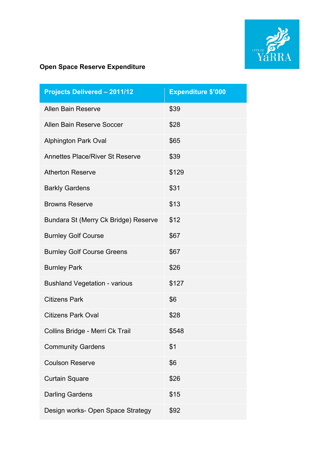

| <b>Projects Delivered - 2011/12</b>    | <b>Expenditure \$'000</b> |
|----------------------------------------|---------------------------|
| <b>Allen Bain Reserve</b>              | \$39                      |
| Allen Bain Reserve Soccer              | \$28                      |
| <b>Alphington Park Oval</b>            | \$65                      |
| <b>Annettes Place/River St Reserve</b> | \$39                      |
| <b>Atherton Reserve</b>                | \$129                     |
| <b>Barkly Gardens</b>                  | \$31                      |
| <b>Browns Reserve</b>                  | \$13                      |
| Bundara St (Merry Ck Bridge) Reserve   | \$12                      |
| <b>Burnley Golf Course</b>             | \$67                      |
| <b>Burnley Golf Course Greens</b>      | \$67                      |
| <b>Burnley Park</b>                    | \$26                      |
| <b>Bushland Vegetation - various</b>   | \$127                     |
| <b>Citizens Park</b>                   | \$6                       |
| <b>Citizens Park Oval</b>              | \$28                      |
| Collins Bridge - Merri Ck Trail        | \$548                     |
| <b>Community Gardens</b>               | \$1                       |
| <b>Coulson Reserve</b>                 | \$6                       |
| <b>Curtain Square</b>                  | \$26                      |
| <b>Darling Gardens</b>                 | \$15                      |
| Design works- Open Space Strategy      | \$92                      |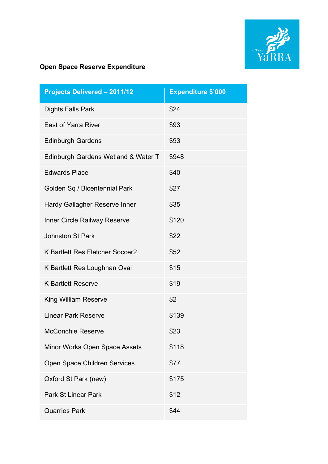

| <b>Projects Delivered - 2011/12</b>    | Expenditure \$'000 |
|----------------------------------------|--------------------|
| <b>Dights Falls Park</b>               | \$24               |
| <b>East of Yarra River</b>             | \$93               |
| <b>Edinburgh Gardens</b>               | \$93               |
| Edinburgh Gardens Wetland & Water T    | \$948              |
| <b>Edwards Place</b>                   | \$40               |
| Golden Sq / Bicentennial Park          | \$27               |
| Hardy Gallagher Reserve Inner          | \$35               |
| <b>Inner Circle Railway Reserve</b>    | \$120              |
| <b>Johnston St Park</b>                | \$22               |
| <b>K Bartlett Res Fletcher Soccer2</b> | \$52               |
| K Bartlett Res Loughnan Oval           | \$15               |
| <b>K Bartlett Reserve</b>              | \$19               |
| <b>King William Reserve</b>            | \$2                |
| <b>Linear Park Reserve</b>             | \$139              |
| <b>McConchie Reserve</b>               | \$23               |
| Minor Works Open Space Assets          | \$118              |
| Open Space Children Services           | \$77               |
| Oxford St Park (new)                   | \$175              |
| <b>Park St Linear Park</b>             | \$12               |
| <b>Quarries Park</b>                   | \$44               |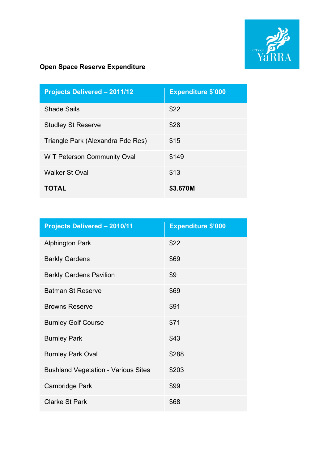

| <b>Projects Delivered - 2011/12</b> | <b>Expenditure \$'000</b> |
|-------------------------------------|---------------------------|
| <b>Shade Sails</b>                  | \$22                      |
| <b>Studley St Reserve</b>           | \$28                      |
| Triangle Park (Alexandra Pde Res)   | \$15                      |
| W T Peterson Community Oval         | \$149                     |
| <b>Walker St Oval</b>               | \$13                      |
| <b>TOTAL</b>                        | \$3.670M                  |

| <b>Projects Delivered - 2010/11</b>        | <b>Expenditure \$'000</b> |
|--------------------------------------------|---------------------------|
| <b>Alphington Park</b>                     | \$22                      |
| <b>Barkly Gardens</b>                      | \$69                      |
| <b>Barkly Gardens Pavilion</b>             | \$9                       |
| <b>Batman St Reserve</b>                   | \$69                      |
| <b>Browns Reserve</b>                      | \$91                      |
| <b>Burnley Golf Course</b>                 | \$71                      |
| <b>Burnley Park</b>                        | \$43                      |
| <b>Burnley Park Oval</b>                   | \$288                     |
| <b>Bushland Vegetation - Various Sites</b> | \$203                     |
| <b>Cambridge Park</b>                      | \$99                      |
| <b>Clarke St Park</b>                      | \$68                      |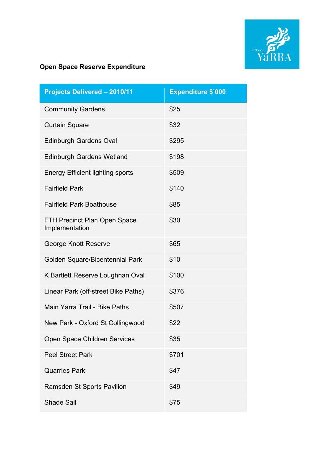

| <b>Projects Delivered - 2010/11</b>                   | <b>Expenditure \$'000</b> |
|-------------------------------------------------------|---------------------------|
| <b>Community Gardens</b>                              | \$25                      |
| <b>Curtain Square</b>                                 | \$32                      |
| <b>Edinburgh Gardens Oval</b>                         | \$295                     |
| <b>Edinburgh Gardens Wetland</b>                      | \$198                     |
| <b>Energy Efficient lighting sports</b>               | \$509                     |
| <b>Fairfield Park</b>                                 | \$140                     |
| <b>Fairfield Park Boathouse</b>                       | \$85                      |
| <b>FTH Precinct Plan Open Space</b><br>Implementation | \$30                      |
| George Knott Reserve                                  | \$65                      |
| Golden Square/Bicentennial Park                       | \$10                      |
| K Bartlett Reserve Loughnan Oval                      | \$100                     |
| Linear Park (off-street Bike Paths)                   | \$376                     |
| Main Yarra Trail - Bike Paths                         | \$507                     |
| New Park - Oxford St Collingwood                      | \$22                      |
| Open Space Children Services                          | \$35                      |
| <b>Peel Street Park</b>                               | \$701                     |
| <b>Quarries Park</b>                                  | \$47                      |
| <b>Ramsden St Sports Pavilion</b>                     | \$49                      |
| <b>Shade Sail</b>                                     | \$75                      |